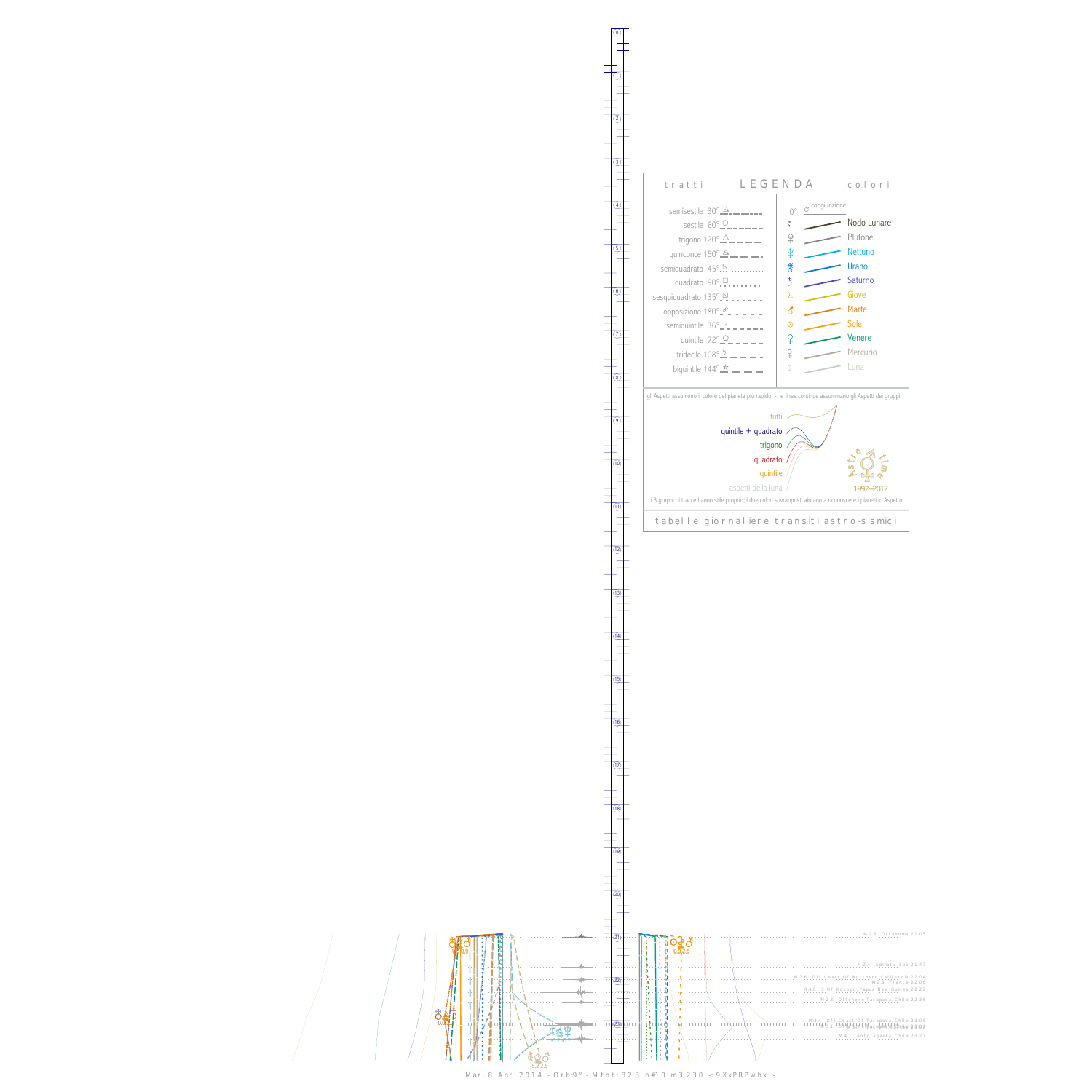